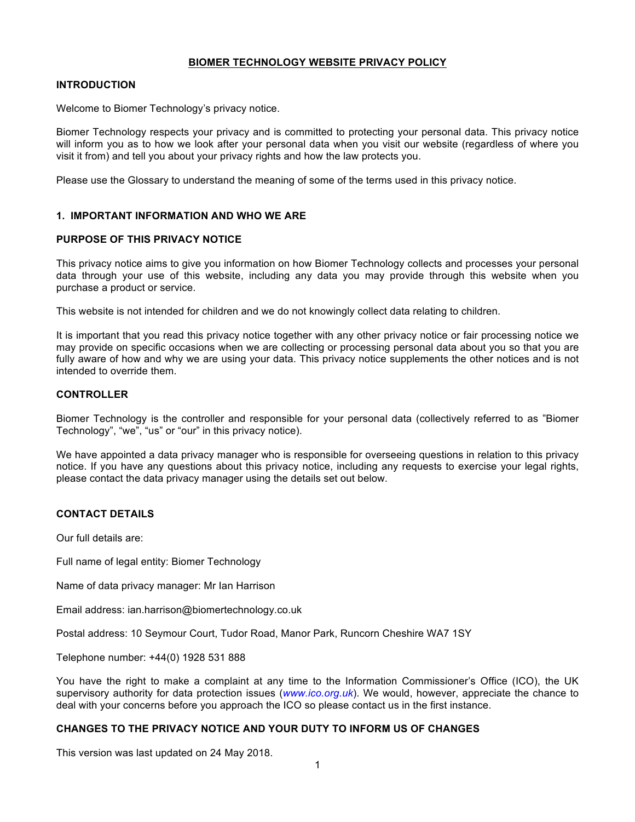# **BIOMER TECHNOLOGY WEBSITE PRIVACY POLICY**

### **INTRODUCTION**

Welcome to Biomer Technology's privacy notice.

Biomer Technology respects your privacy and is committed to protecting your personal data. This privacy notice will inform you as to how we look after your personal data when you visit our website (regardless of where you visit it from) and tell you about your privacy rights and how the law protects you.

Please use the Glossary to understand the meaning of some of the terms used in this privacy notice.

### **1. IMPORTANT INFORMATION AND WHO WE ARE**

### **PURPOSE OF THIS PRIVACY NOTICE**

This privacy notice aims to give you information on how Biomer Technology collects and processes your personal data through your use of this website, including any data you may provide through this website when you purchase a product or service.

This website is not intended for children and we do not knowingly collect data relating to children.

It is important that you read this privacy notice together with any other privacy notice or fair processing notice we may provide on specific occasions when we are collecting or processing personal data about you so that you are fully aware of how and why we are using your data. This privacy notice supplements the other notices and is not intended to override them.

#### **CONTROLLER**

Biomer Technology is the controller and responsible for your personal data (collectively referred to as "Biomer Technology", "we", "us" or "our" in this privacy notice).

We have appointed a data privacy manager who is responsible for overseeing questions in relation to this privacy notice. If you have any questions about this privacy notice, including any requests to exercise your legal rights, please contact the data privacy manager using the details set out below.

# **CONTACT DETAILS**

Our full details are:

Full name of legal entity: Biomer Technology

Name of data privacy manager: Mr Ian Harrison

Email address: ian.harrison@biomertechnology.co.uk

Postal address: 10 Seymour Court, Tudor Road, Manor Park, Runcorn Cheshire WA7 1SY

Telephone number: +44(0) 1928 531 888

You have the right to make a complaint at any time to the Information Commissioner's Office (ICO), the UK supervisory authority for data protection issues (*www.ico.org.uk*). We would, however, appreciate the chance to deal with your concerns before you approach the ICO so please contact us in the first instance.

### **CHANGES TO THE PRIVACY NOTICE AND YOUR DUTY TO INFORM US OF CHANGES**

This version was last updated on 24 May 2018.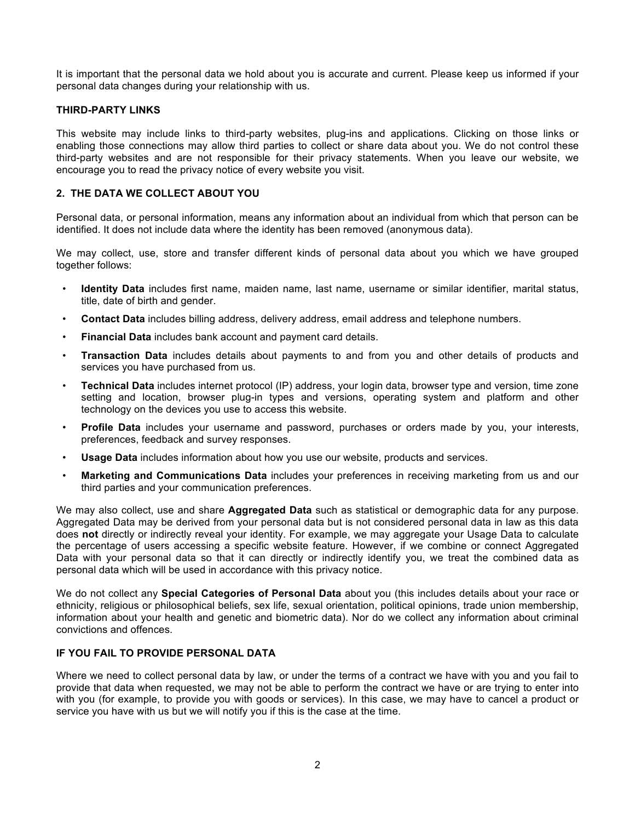It is important that the personal data we hold about you is accurate and current. Please keep us informed if your personal data changes during your relationship with us.

#### **THIRD-PARTY LINKS**

This website may include links to third-party websites, plug-ins and applications. Clicking on those links or enabling those connections may allow third parties to collect or share data about you. We do not control these third-party websites and are not responsible for their privacy statements. When you leave our website, we encourage you to read the privacy notice of every website you visit.

## **2. THE DATA WE COLLECT ABOUT YOU**

Personal data, or personal information, means any information about an individual from which that person can be identified. It does not include data where the identity has been removed (anonymous data).

We may collect, use, store and transfer different kinds of personal data about you which we have grouped together follows:

- **Identity Data** includes first name, maiden name, last name, username or similar identifier, marital status, title, date of birth and gender.
- **Contact Data** includes billing address, delivery address, email address and telephone numbers.
- **Financial Data** includes bank account and payment card details.
- **Transaction Data** includes details about payments to and from you and other details of products and services you have purchased from us.
- **Technical Data** includes internet protocol (IP) address, your login data, browser type and version, time zone setting and location, browser plug-in types and versions, operating system and platform and other technology on the devices you use to access this website.
- **Profile Data** includes your username and password, purchases or orders made by you, your interests, preferences, feedback and survey responses.
- **Usage Data** includes information about how you use our website, products and services.
- **Marketing and Communications Data** includes your preferences in receiving marketing from us and our third parties and your communication preferences.

We may also collect, use and share **Aggregated Data** such as statistical or demographic data for any purpose. Aggregated Data may be derived from your personal data but is not considered personal data in law as this data does **not** directly or indirectly reveal your identity. For example, we may aggregate your Usage Data to calculate the percentage of users accessing a specific website feature. However, if we combine or connect Aggregated Data with your personal data so that it can directly or indirectly identify you, we treat the combined data as personal data which will be used in accordance with this privacy notice.

We do not collect any **Special Categories of Personal Data** about you (this includes details about your race or ethnicity, religious or philosophical beliefs, sex life, sexual orientation, political opinions, trade union membership, information about your health and genetic and biometric data). Nor do we collect any information about criminal convictions and offences.

# **IF YOU FAIL TO PROVIDE PERSONAL DATA**

Where we need to collect personal data by law, or under the terms of a contract we have with you and you fail to provide that data when requested, we may not be able to perform the contract we have or are trying to enter into with you (for example, to provide you with goods or services). In this case, we may have to cancel a product or service you have with us but we will notify you if this is the case at the time.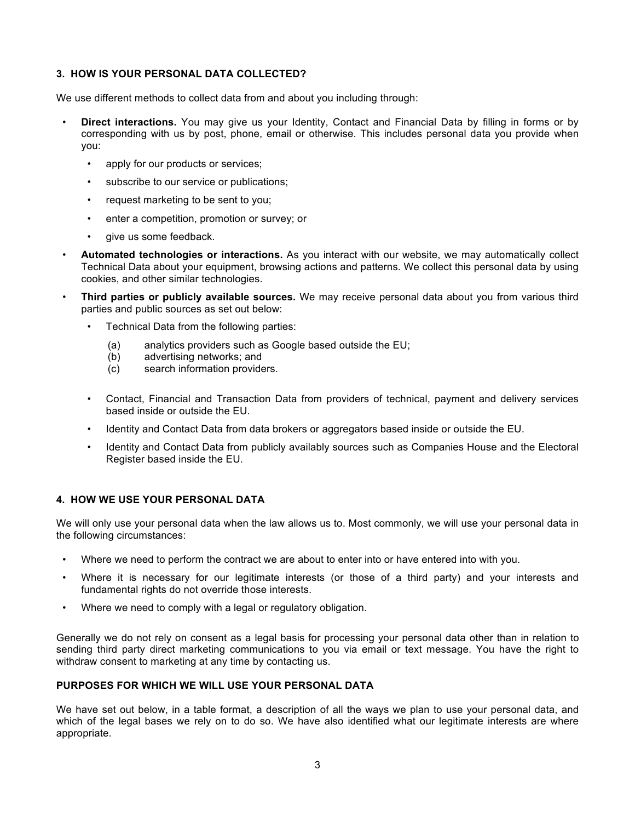# **3. HOW IS YOUR PERSONAL DATA COLLECTED?**

We use different methods to collect data from and about you including through:

- **Direct interactions.** You may give us your Identity, Contact and Financial Data by filling in forms or by corresponding with us by post, phone, email or otherwise. This includes personal data you provide when you:
	- apply for our products or services;
	- subscribe to our service or publications;
	- request marketing to be sent to you;
	- enter a competition, promotion or survey; or
	- give us some feedback.
- **Automated technologies or interactions.** As you interact with our website, we may automatically collect Technical Data about your equipment, browsing actions and patterns. We collect this personal data by using cookies, and other similar technologies.
- **Third parties or publicly available sources.** We may receive personal data about you from various third parties and public sources as set out below:
	- Technical Data from the following parties:
		- (a) analytics providers such as Google based outside the EU;
		- (b) advertising networks; and
		- (c) search information providers.
	- Contact, Financial and Transaction Data from providers of technical, payment and delivery services based inside or outside the EU.
	- Identity and Contact Data from data brokers or aggregators based inside or outside the EU.
	- Identity and Contact Data from publicly availably sources such as Companies House and the Electoral Register based inside the EU.

# **4. HOW WE USE YOUR PERSONAL DATA**

We will only use your personal data when the law allows us to. Most commonly, we will use your personal data in the following circumstances:

- Where we need to perform the contract we are about to enter into or have entered into with you.
- Where it is necessary for our legitimate interests (or those of a third party) and your interests and fundamental rights do not override those interests.
- Where we need to comply with a legal or regulatory obligation.

Generally we do not rely on consent as a legal basis for processing your personal data other than in relation to sending third party direct marketing communications to you via email or text message. You have the right to withdraw consent to marketing at any time by contacting us.

# **PURPOSES FOR WHICH WE WILL USE YOUR PERSONAL DATA**

We have set out below, in a table format, a description of all the ways we plan to use your personal data, and which of the legal bases we rely on to do so. We have also identified what our legitimate interests are where appropriate.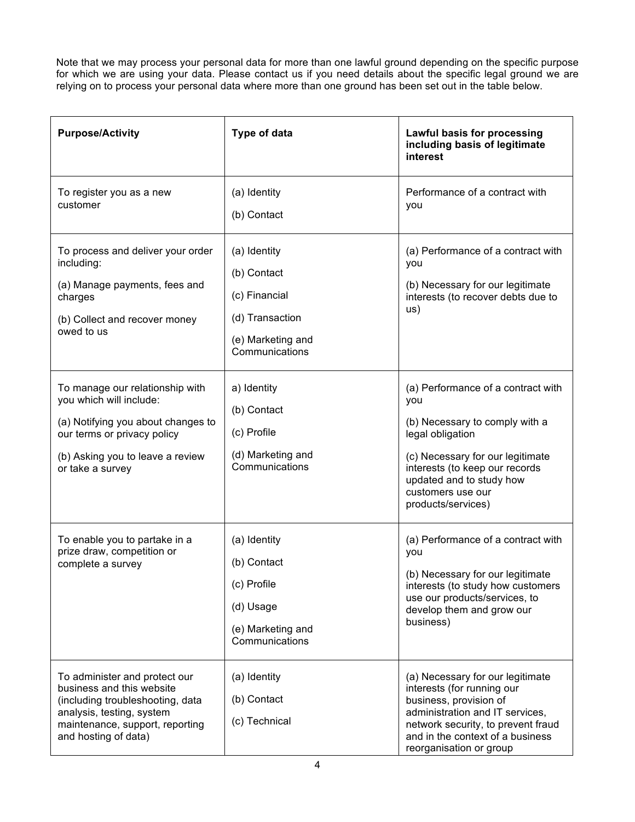Note that we may process your personal data for more than one lawful ground depending on the specific purpose for which we are using your data. Please contact us if you need details about the specific legal ground we are relying on to process your personal data where more than one ground has been set out in the table below.

| <b>Purpose/Activity</b>                                                                                                                                                                 | Type of data                                                                                           | Lawful basis for processing<br>including basis of legitimate<br>interest                                                                                                                                                                     |
|-----------------------------------------------------------------------------------------------------------------------------------------------------------------------------------------|--------------------------------------------------------------------------------------------------------|----------------------------------------------------------------------------------------------------------------------------------------------------------------------------------------------------------------------------------------------|
| To register you as a new<br>customer                                                                                                                                                    | (a) Identity<br>(b) Contact                                                                            | Performance of a contract with<br>you                                                                                                                                                                                                        |
| To process and deliver your order<br>including:<br>(a) Manage payments, fees and<br>charges<br>(b) Collect and recover money<br>owed to us                                              | (a) Identity<br>(b) Contact<br>(c) Financial<br>(d) Transaction<br>(e) Marketing and<br>Communications | (a) Performance of a contract with<br>you<br>(b) Necessary for our legitimate<br>interests (to recover debts due to<br>us)                                                                                                                   |
| To manage our relationship with<br>you which will include:<br>(a) Notifying you about changes to<br>our terms or privacy policy<br>(b) Asking you to leave a review<br>or take a survey | a) Identity<br>(b) Contact<br>(c) Profile<br>(d) Marketing and<br>Communications                       | (a) Performance of a contract with<br>you<br>(b) Necessary to comply with a<br>legal obligation<br>(c) Necessary for our legitimate<br>interests (to keep our records<br>updated and to study how<br>customers use our<br>products/services) |
| To enable you to partake in a<br>prize draw, competition or<br>complete a survey                                                                                                        | (a) Identity<br>(b) Contact<br>(c) Profile<br>(d) Usage<br>(e) Marketing and<br>Communications         | (a) Performance of a contract with<br>you<br>(b) Necessary for our legitimate<br>interests (to study how customers<br>use our products/services, to<br>develop them and grow our<br>business)                                                |
| To administer and protect our<br>business and this website<br>(including troubleshooting, data<br>analysis, testing, system<br>maintenance, support, reporting<br>and hosting of data)  | (a) Identity<br>(b) Contact<br>(c) Technical                                                           | (a) Necessary for our legitimate<br>interests (for running our<br>business, provision of<br>administration and IT services,<br>network security, to prevent fraud<br>and in the context of a business<br>reorganisation or group             |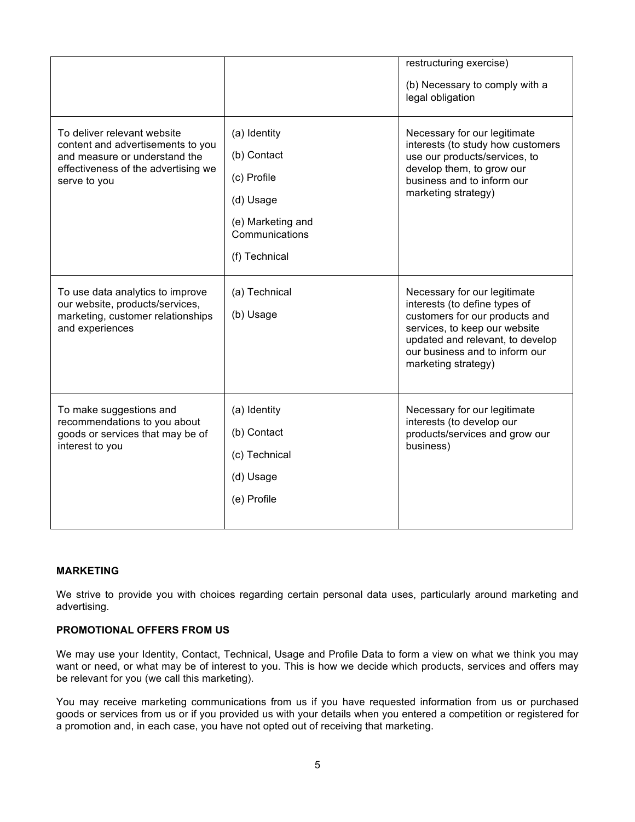|                                                                                                                                                          |                                                                                                                 | restructuring exercise)                                                                                                                                                                                                       |
|----------------------------------------------------------------------------------------------------------------------------------------------------------|-----------------------------------------------------------------------------------------------------------------|-------------------------------------------------------------------------------------------------------------------------------------------------------------------------------------------------------------------------------|
|                                                                                                                                                          |                                                                                                                 | (b) Necessary to comply with a<br>legal obligation                                                                                                                                                                            |
| To deliver relevant website<br>content and advertisements to you<br>and measure or understand the<br>effectiveness of the advertising we<br>serve to you | (a) Identity<br>(b) Contact<br>(c) Profile<br>(d) Usage<br>(e) Marketing and<br>Communications<br>(f) Technical | Necessary for our legitimate<br>interests (to study how customers<br>use our products/services, to<br>develop them, to grow our<br>business and to inform our<br>marketing strategy)                                          |
| To use data analytics to improve<br>our website, products/services,<br>marketing, customer relationships<br>and experiences                              | (a) Technical<br>(b) Usage                                                                                      | Necessary for our legitimate<br>interests (to define types of<br>customers for our products and<br>services, to keep our website<br>updated and relevant, to develop<br>our business and to inform our<br>marketing strategy) |
| To make suggestions and<br>recommendations to you about<br>goods or services that may be of<br>interest to you                                           | (a) Identity<br>(b) Contact<br>(c) Technical<br>(d) Usage<br>(e) Profile                                        | Necessary for our legitimate<br>interests (to develop our<br>products/services and grow our<br>business)                                                                                                                      |

# **MARKETING**

We strive to provide you with choices regarding certain personal data uses, particularly around marketing and advertising.

## **PROMOTIONAL OFFERS FROM US**

We may use your Identity, Contact, Technical, Usage and Profile Data to form a view on what we think you may want or need, or what may be of interest to you. This is how we decide which products, services and offers may be relevant for you (we call this marketing).

You may receive marketing communications from us if you have requested information from us or purchased goods or services from us or if you provided us with your details when you entered a competition or registered for a promotion and, in each case, you have not opted out of receiving that marketing.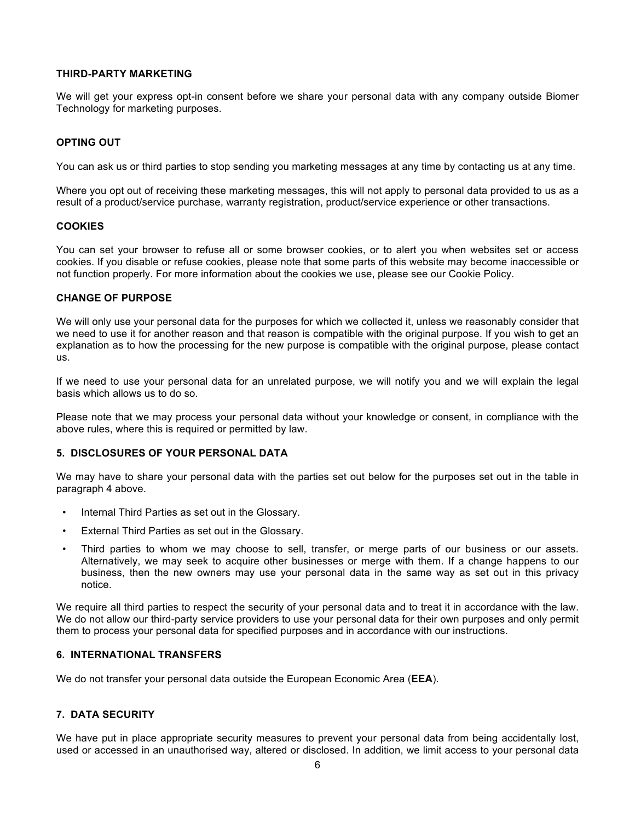### **THIRD-PARTY MARKETING**

We will get your express opt-in consent before we share your personal data with any company outside Biomer Technology for marketing purposes.

### **OPTING OUT**

You can ask us or third parties to stop sending you marketing messages at any time by contacting us at any time.

Where you opt out of receiving these marketing messages, this will not apply to personal data provided to us as a result of a product/service purchase, warranty registration, product/service experience or other transactions.

#### **COOKIES**

You can set your browser to refuse all or some browser cookies, or to alert you when websites set or access cookies. If you disable or refuse cookies, please note that some parts of this website may become inaccessible or not function properly. For more information about the cookies we use, please see our Cookie Policy.

#### **CHANGE OF PURPOSE**

We will only use your personal data for the purposes for which we collected it, unless we reasonably consider that we need to use it for another reason and that reason is compatible with the original purpose. If you wish to get an explanation as to how the processing for the new purpose is compatible with the original purpose, please contact us.

If we need to use your personal data for an unrelated purpose, we will notify you and we will explain the legal basis which allows us to do so.

Please note that we may process your personal data without your knowledge or consent, in compliance with the above rules, where this is required or permitted by law.

### **5. DISCLOSURES OF YOUR PERSONAL DATA**

We may have to share your personal data with the parties set out below for the purposes set out in the table in paragraph 4 above.

- Internal Third Parties as set out in the Glossary.
- External Third Parties as set out in the Glossary.
- Third parties to whom we may choose to sell, transfer, or merge parts of our business or our assets. Alternatively, we may seek to acquire other businesses or merge with them. If a change happens to our business, then the new owners may use your personal data in the same way as set out in this privacy notice.

We require all third parties to respect the security of your personal data and to treat it in accordance with the law. We do not allow our third-party service providers to use your personal data for their own purposes and only permit them to process your personal data for specified purposes and in accordance with our instructions.

#### **6. INTERNATIONAL TRANSFERS**

We do not transfer your personal data outside the European Economic Area (**EEA**).

## **7. DATA SECURITY**

We have put in place appropriate security measures to prevent your personal data from being accidentally lost, used or accessed in an unauthorised way, altered or disclosed. In addition, we limit access to your personal data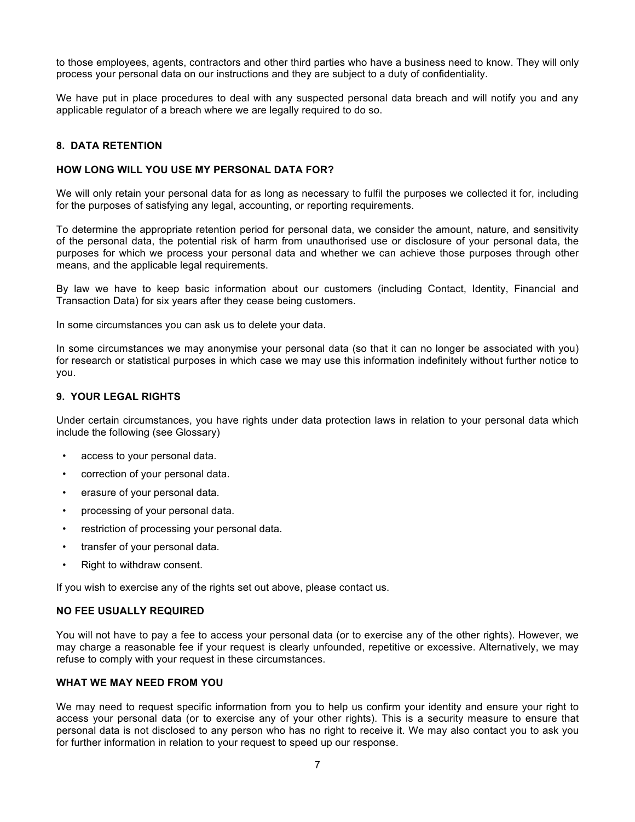to those employees, agents, contractors and other third parties who have a business need to know. They will only process your personal data on our instructions and they are subject to a duty of confidentiality.

We have put in place procedures to deal with any suspected personal data breach and will notify you and any applicable regulator of a breach where we are legally required to do so.

## **8. DATA RETENTION**

#### **HOW LONG WILL YOU USE MY PERSONAL DATA FOR?**

We will only retain your personal data for as long as necessary to fulfil the purposes we collected it for, including for the purposes of satisfying any legal, accounting, or reporting requirements.

To determine the appropriate retention period for personal data, we consider the amount, nature, and sensitivity of the personal data, the potential risk of harm from unauthorised use or disclosure of your personal data, the purposes for which we process your personal data and whether we can achieve those purposes through other means, and the applicable legal requirements.

By law we have to keep basic information about our customers (including Contact, Identity, Financial and Transaction Data) for six years after they cease being customers.

In some circumstances you can ask us to delete your data.

In some circumstances we may anonymise your personal data (so that it can no longer be associated with you) for research or statistical purposes in which case we may use this information indefinitely without further notice to you.

# **9. YOUR LEGAL RIGHTS**

Under certain circumstances, you have rights under data protection laws in relation to your personal data which include the following (see Glossary)

- access to your personal data.
- correction of your personal data.
- erasure of your personal data.
- processing of your personal data.
- restriction of processing your personal data.
- transfer of your personal data.
- Right to withdraw consent.

If you wish to exercise any of the rights set out above, please contact us.

### **NO FEE USUALLY REQUIRED**

You will not have to pay a fee to access your personal data (or to exercise any of the other rights). However, we may charge a reasonable fee if your request is clearly unfounded, repetitive or excessive. Alternatively, we may refuse to comply with your request in these circumstances.

#### **WHAT WE MAY NEED FROM YOU**

We may need to request specific information from you to help us confirm your identity and ensure your right to access your personal data (or to exercise any of your other rights). This is a security measure to ensure that personal data is not disclosed to any person who has no right to receive it. We may also contact you to ask you for further information in relation to your request to speed up our response.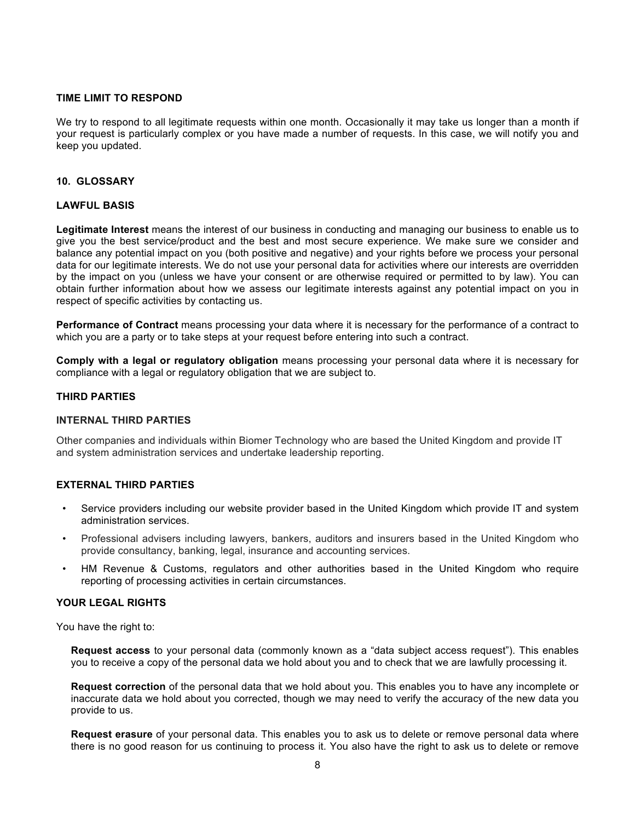#### **TIME LIMIT TO RESPOND**

We try to respond to all legitimate requests within one month. Occasionally it may take us longer than a month if your request is particularly complex or you have made a number of requests. In this case, we will notify you and keep you updated.

#### **10. GLOSSARY**

#### **LAWFUL BASIS**

**Legitimate Interest** means the interest of our business in conducting and managing our business to enable us to give you the best service/product and the best and most secure experience. We make sure we consider and balance any potential impact on you (both positive and negative) and your rights before we process your personal data for our legitimate interests. We do not use your personal data for activities where our interests are overridden by the impact on you (unless we have your consent or are otherwise required or permitted to by law). You can obtain further information about how we assess our legitimate interests against any potential impact on you in respect of specific activities by contacting us.

**Performance of Contract** means processing your data where it is necessary for the performance of a contract to which you are a party or to take steps at your request before entering into such a contract.

**Comply with a legal or regulatory obligation** means processing your personal data where it is necessary for compliance with a legal or regulatory obligation that we are subject to.

#### **THIRD PARTIES**

#### **INTERNAL THIRD PARTIES**

Other companies and individuals within Biomer Technology who are based the United Kingdom and provide IT and system administration services and undertake leadership reporting.

## **EXTERNAL THIRD PARTIES**

- Service providers including our website provider based in the United Kingdom which provide IT and system administration services.
- Professional advisers including lawyers, bankers, auditors and insurers based in the United Kingdom who provide consultancy, banking, legal, insurance and accounting services.
- HM Revenue & Customs, regulators and other authorities based in the United Kingdom who require reporting of processing activities in certain circumstances.

#### **YOUR LEGAL RIGHTS**

You have the right to:

**Request access** to your personal data (commonly known as a "data subject access request"). This enables you to receive a copy of the personal data we hold about you and to check that we are lawfully processing it.

**Request correction** of the personal data that we hold about you. This enables you to have any incomplete or inaccurate data we hold about you corrected, though we may need to verify the accuracy of the new data you provide to us.

**Request erasure** of your personal data. This enables you to ask us to delete or remove personal data where there is no good reason for us continuing to process it. You also have the right to ask us to delete or remove